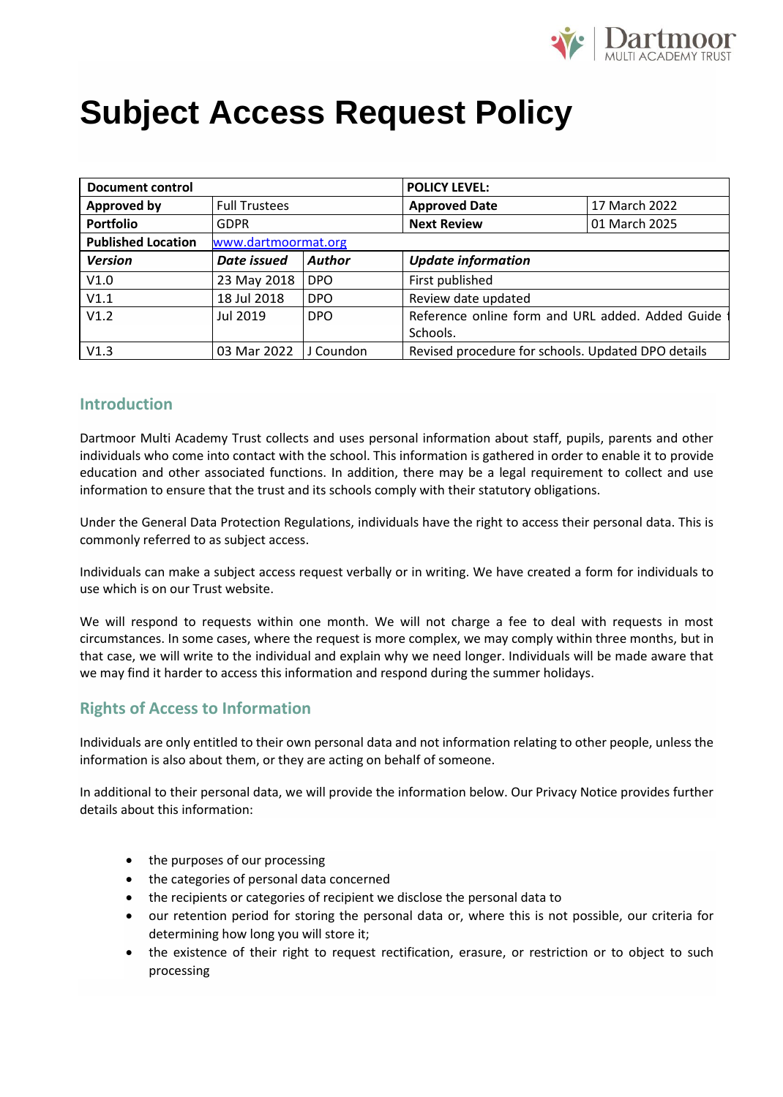

# **Subject Access Request Policy**

| <b>Document control</b>   |                      |               | <b>POLICY LEVEL:</b>                               |               |
|---------------------------|----------------------|---------------|----------------------------------------------------|---------------|
| <b>Approved by</b>        | <b>Full Trustees</b> |               | <b>Approved Date</b>                               | 17 March 2022 |
| <b>Portfolio</b>          | GDPR                 |               | <b>Next Review</b>                                 | 01 March 2025 |
| <b>Published Location</b> | www.dartmoormat.org  |               |                                                    |               |
| <b>Version</b>            | Date issued          | <b>Author</b> | <b>Update information</b>                          |               |
| V1.0                      | 23 May 2018          | <b>DPO</b>    | First published                                    |               |
| V1.1                      | 18 Jul 2018          | <b>DPO</b>    | Review date updated                                |               |
| V1.2                      | Jul 2019             | <b>DPO</b>    | Reference online form and URL added. Added Guide   |               |
|                           |                      |               | Schools.                                           |               |
| V1.3                      | 03 Mar 2022          | J Coundon     | Revised procedure for schools. Updated DPO details |               |

# **Introduction**

Dartmoor Multi Academy Trust collects and uses personal information about staff, pupils, parents and other individuals who come into contact with the school. This information is gathered in order to enable it to provide education and other associated functions. In addition, there may be a legal requirement to collect and use information to ensure that the trust and its schools comply with their statutory obligations.

Under the General Data Protection Regulations, individuals have the right to access their personal data. This is commonly referred to as subject access.

Individuals can make a subject access request verbally or in writing. We have created a form for individuals to use which is on our Trust website.

We will respond to requests within one month. We will not charge a fee to deal with requests in most circumstances. In some cases, where the request is more complex, we may comply within three months, but in that case, we will write to the individual and explain why we need longer. Individuals will be made aware that we may find it harder to access this information and respond during the summer holidays.

# **Rights of Access to Information**

Individuals are only entitled to their own personal data and not information relating to other people, unless the information is also about them, or they are acting on behalf of someone.

In additional to their personal data, we will provide the information below. Our Privacy Notice provides further details about this information:

- the purposes of our processing
- the categories of personal data concerned
- the recipients or categories of recipient we disclose the personal data to
- our retention period for storing the personal data or, where this is not possible, our criteria for determining how long you will store it;
- the existence of their right to request rectification, erasure, or restriction or to object to such processing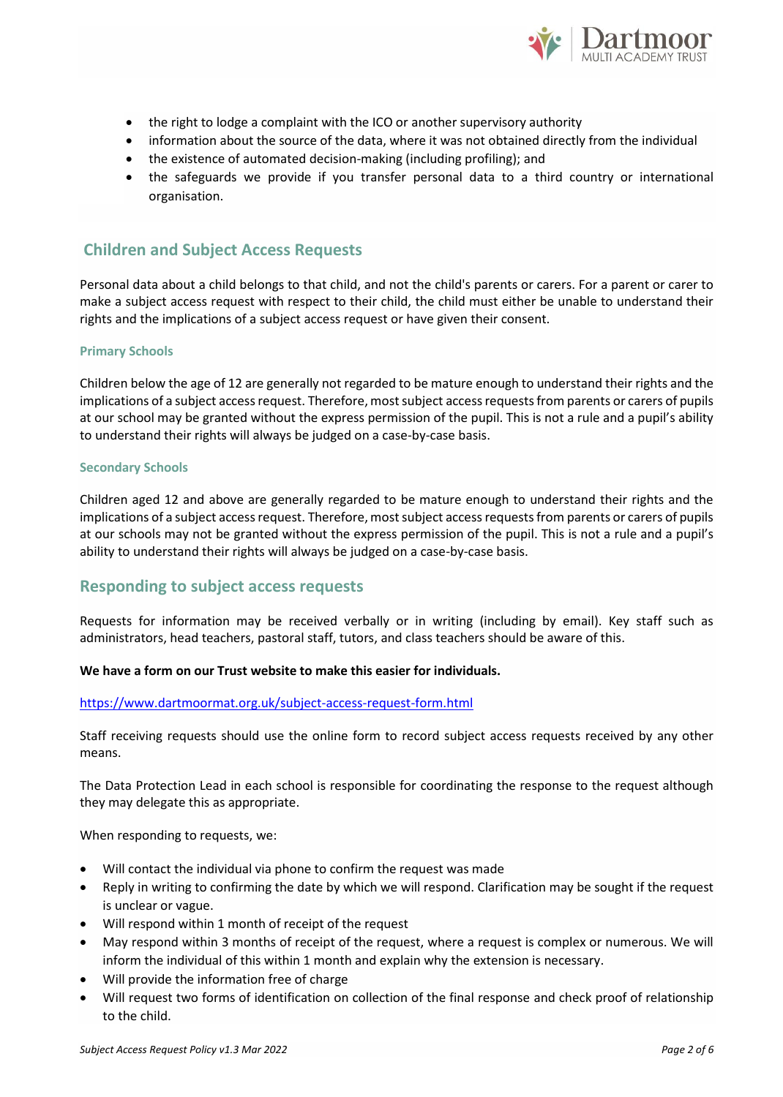

- the right to lodge a complaint with the ICO or another supervisory authority
- information about the source of the data, where it was not obtained directly from the individual
- the existence of automated decision-making (including profiling); and
- the safeguards we provide if you transfer personal data to a third country or international organisation.

# **Children and Subject Access Requests**

Personal data about a child belongs to that child, and not the child's parents or carers. For a parent or carer to make a subject access request with respect to their child, the child must either be unable to understand their rights and the implications of a subject access request or have given their consent.

## **Primary Schools**

Children below the age of 12 are generally not regarded to be mature enough to understand their rights and the implications of a subject access request. Therefore, most subject access requests from parents or carers of pupils at our school may be granted without the express permission of the pupil. This is not a rule and a pupil's ability to understand their rights will always be judged on a case-by-case basis.

#### **Secondary Schools**

Children aged 12 and above are generally regarded to be mature enough to understand their rights and the implications of a subject access request. Therefore, most subject access requests from parents or carers of pupils at our schools may not be granted without the express permission of the pupil. This is not a rule and a pupil's ability to understand their rights will always be judged on a case-by-case basis.

# **Responding to subject access requests**

Requests for information may be received verbally or in writing (including by email). Key staff such as administrators, head teachers, pastoral staff, tutors, and class teachers should be aware of this.

## **We have a form on our Trust website to make this easier for individuals.**

## <https://www.dartmoormat.org.uk/subject-access-request-form.html>

Staff receiving requests should use the online form to record subject access requests received by any other means.

The Data Protection Lead in each school is responsible for coordinating the response to the request although they may delegate this as appropriate.

When responding to requests, we:

- Will contact the individual via phone to confirm the request was made
- Reply in writing to confirming the date by which we will respond. Clarification may be sought if the request is unclear or vague.
- Will respond within 1 month of receipt of the request
- May respond within 3 months of receipt of the request, where a request is complex or numerous. We will inform the individual of this within 1 month and explain why the extension is necessary.
- Will provide the information free of charge
- Will request two forms of identification on collection of the final response and check proof of relationship to the child.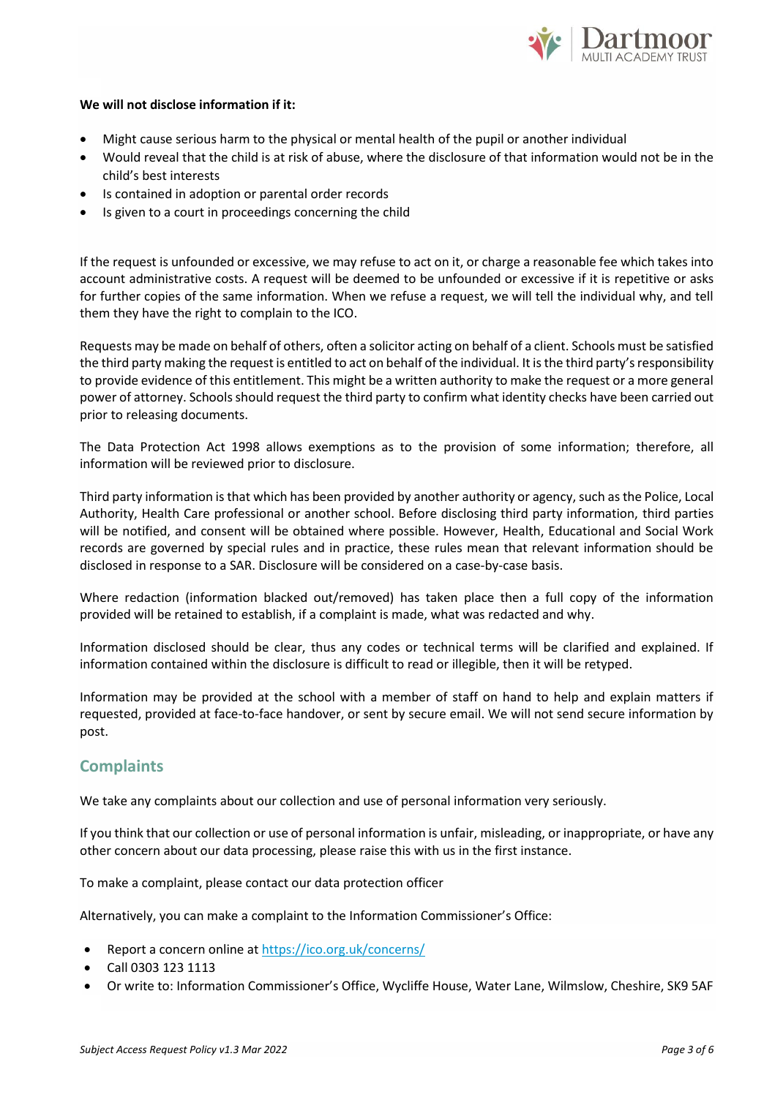

## **We will not disclose information if it:**

- Might cause serious harm to the physical or mental health of the pupil or another individual
- Would reveal that the child is at risk of abuse, where the disclosure of that information would not be in the child's best interests
- Is contained in adoption or parental order records
- Is given to a court in proceedings concerning the child

If the request is unfounded or excessive, we may refuse to act on it, or charge a reasonable fee which takes into account administrative costs. A request will be deemed to be unfounded or excessive if it is repetitive or asks for further copies of the same information. When we refuse a request, we will tell the individual why, and tell them they have the right to complain to the ICO.

Requests may be made on behalf of others, often a solicitor acting on behalf of a client. Schools must be satisfied the third party making the request is entitled to act on behalf of the individual. It is the third party's responsibility to provide evidence of this entitlement. This might be a written authority to make the request or a more general power of attorney. Schools should request the third party to confirm what identity checks have been carried out prior to releasing documents.

The Data Protection Act 1998 allows exemptions as to the provision of some information; therefore, all information will be reviewed prior to disclosure.

Third party information is that which has been provided by another authority or agency, such as the Police, Local Authority, Health Care professional or another school. Before disclosing third party information, third parties will be notified, and consent will be obtained where possible. However, Health, Educational and Social Work records are governed by special rules and in practice, these rules mean that relevant information should be disclosed in response to a SAR. Disclosure will be considered on a case-by-case basis.

Where redaction (information blacked out/removed) has taken place then a full copy of the information provided will be retained to establish, if a complaint is made, what was redacted and why.

Information disclosed should be clear, thus any codes or technical terms will be clarified and explained. If information contained within the disclosure is difficult to read or illegible, then it will be retyped.

Information may be provided at the school with a member of staff on hand to help and explain matters if requested, provided at face-to-face handover, or sent by secure email. We will not send secure information by post.

# **Complaints**

We take any complaints about our collection and use of personal information very seriously.

If you think that our collection or use of personal information is unfair, misleading, or inappropriate, or have any other concern about our data processing, please raise this with us in the first instance.

To make a complaint, please contact our data protection officer

Alternatively, you can make a complaint to the Information Commissioner's Office:

- Report a concern online a[t https://ico.org.uk/concerns/](https://ico.org.uk/concerns/)
- Call 0303 123 1113
- Or write to: Information Commissioner's Office, Wycliffe House, Water Lane, Wilmslow, Cheshire, SK9 5AF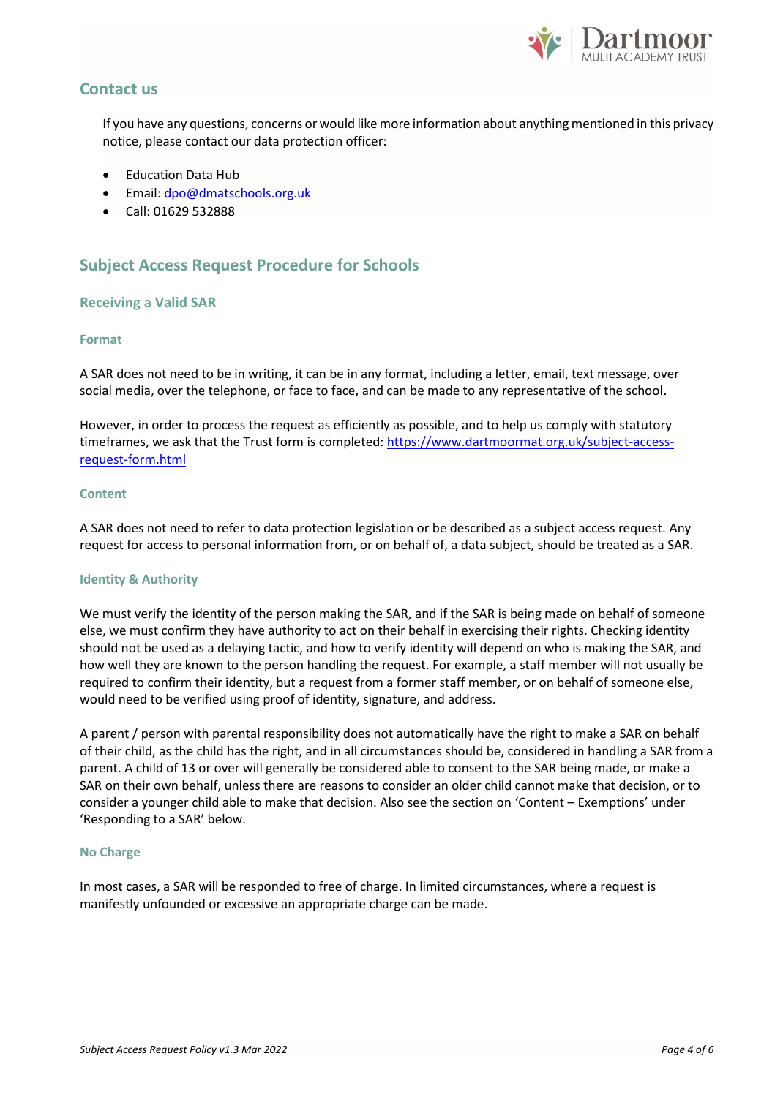

# **Contact us**

If you have any questions, concerns or would like more information about anything mentioned in this privacy notice, please contact our data protection officer:

- Education Data Hub
- Email: [dpo@dmatschools.org.uk](mailto:dpo@dmatschools.org.uk)
- Call: 01629 532888

# **Subject Access Request Procedure for Schools**

## **Receiving a Valid SAR**

# **Format**

A SAR does not need to be in writing, it can be in any format, including a letter, email, text message, over social media, over the telephone, or face to face, and can be made to any representative of the school.

However, in order to process the request as efficiently as possible, and to help us comply with statutory timeframes, we ask that the Trust form is completed[: https://www.dartmoormat.org.uk/subject-access](https://www.dartmoormat.org.uk/subject-access-request-form.html)[request-form.html](https://www.dartmoormat.org.uk/subject-access-request-form.html)

## **Content**

A SAR does not need to refer to data protection legislation or be described as a subject access request. Any request for access to personal information from, or on behalf of, a data subject, should be treated as a SAR.

## **Identity & Authority**

We must verify the identity of the person making the SAR, and if the SAR is being made on behalf of someone else, we must confirm they have authority to act on their behalf in exercising their rights. Checking identity should not be used as a delaying tactic, and how to verify identity will depend on who is making the SAR, and how well they are known to the person handling the request. For example, a staff member will not usually be required to confirm their identity, but a request from a former staff member, or on behalf of someone else, would need to be verified using proof of identity, signature, and address.

A parent / person with parental responsibility does not automatically have the right to make a SAR on behalf of their child, as the child has the right, and in all circumstances should be, considered in handling a SAR from a parent. A child of 13 or over will generally be considered able to consent to the SAR being made, or make a SAR on their own behalf, unless there are reasons to consider an older child cannot make that decision, or to consider a younger child able to make that decision. Also see the section on 'Content – Exemptions' under 'Responding to a SAR' below.

## **No Charge**

In most cases, a SAR will be responded to free of charge. In limited circumstances, where a request is manifestly unfounded or excessive an appropriate charge can be made.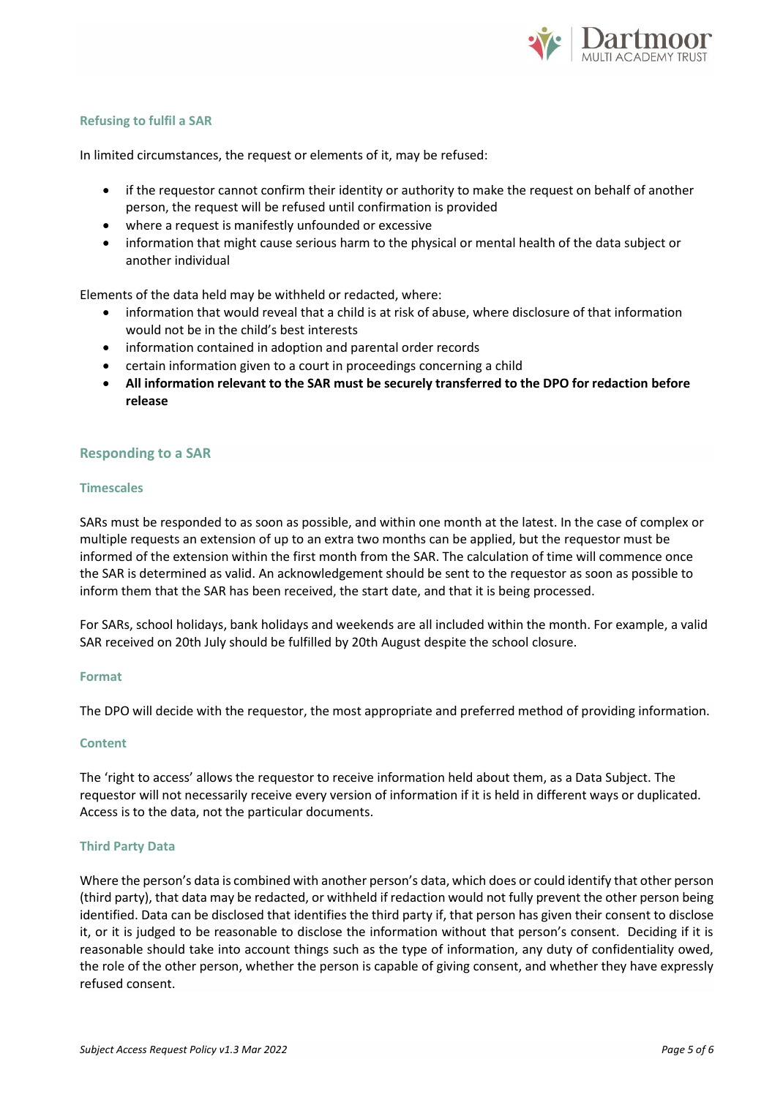

# **Refusing to fulfil a SAR**

In limited circumstances, the request or elements of it, may be refused:

- if the requestor cannot confirm their identity or authority to make the request on behalf of another person, the request will be refused until confirmation is provided
- where a request is manifestly unfounded or excessive
- information that might cause serious harm to the physical or mental health of the data subject or another individual

Elements of the data held may be withheld or redacted, where:

- information that would reveal that a child is at risk of abuse, where disclosure of that information would not be in the child's best interests
- information contained in adoption and parental order records
- certain information given to a court in proceedings concerning a child
- **All information relevant to the SAR must be securely transferred to the DPO for redaction before release**

## **Responding to a SAR**

## **Timescales**

SARs must be responded to as soon as possible, and within one month at the latest. In the case of complex or multiple requests an extension of up to an extra two months can be applied, but the requestor must be informed of the extension within the first month from the SAR. The calculation of time will commence once the SAR is determined as valid. An acknowledgement should be sent to the requestor as soon as possible to inform them that the SAR has been received, the start date, and that it is being processed.

For SARs, school holidays, bank holidays and weekends are all included within the month. For example, a valid SAR received on 20th July should be fulfilled by 20th August despite the school closure.

#### **Format**

The DPO will decide with the requestor, the most appropriate and preferred method of providing information.

## **Content**

The 'right to access' allows the requestor to receive information held about them, as a Data Subject. The requestor will not necessarily receive every version of information if it is held in different ways or duplicated. Access is to the data, not the particular documents.

## **Third Party Data**

Where the person's data is combined with another person's data, which does or could identify that other person (third party), that data may be redacted, or withheld if redaction would not fully prevent the other person being identified. Data can be disclosed that identifies the third party if, that person has given their consent to disclose it, or it is judged to be reasonable to disclose the information without that person's consent. Deciding if it is reasonable should take into account things such as the type of information, any duty of confidentiality owed, the role of the other person, whether the person is capable of giving consent, and whether they have expressly refused consent.